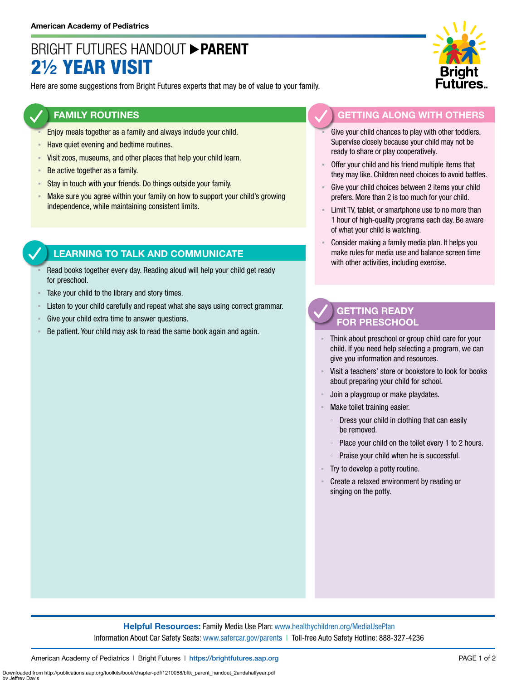## BRIGHT FUTURES HANDOUT **PARENT** 2½ YEAR VISIT

Here are some suggestions from Bright Futures experts that may be of value to your family.

### **FAMILY ROUTINES**

- Enjoy meals together as a family and always include your child.
- **EXEQUE Have quiet evening and bedtime routines.**
- Visit zoos, museums, and other places that help your child learn.
- **Be active together as a family.**
- **EXECT Stay in touch with your friends. Do things outside your family.**
- Make sure you agree within your family on how to support your child's growing independence, while maintaining consistent limits.

### **LEARNING TO TALK AND COMMUNICATE**

- Read books together every day. Reading aloud will help your child get ready for preschool.
- Take your child to the library and story times.
- Listen to your child carefully and repeat what she says using correct grammar.
- Give your child extra time to answer questions.
- Be patient. Your child may ask to read the same book again and again.



### **GETTING ALONG WITH OTHERS**

- Give your child chances to play with other toddlers. Supervise closely because your child may not be ready to share or play cooperatively.
- Offer your child and his friend multiple items that they may like. Children need choices to avoid battles.
- Give your child choices between 2 items your child prefers. More than 2 is too much for your child.
- Limit TV, tablet, or smartphone use to no more than 1 hour of high-quality programs each day. Be aware of what your child is watching.
- Consider making a family media plan. It helps you make rules for media use and balance screen time with other activities, including exercise.

### **GETTING READY FOR PRESCHOOL**

- Think about preschool or group child care for your child. If you need help selecting a program, we can give you information and resources.
- Visit a teachers' store or bookstore to look for books about preparing your child for school.
- Join a playgroup or make playdates.
- Make toilet training easier.
	- Dress your child in clothing that can easily be removed.
	- Place your child on the toilet every 1 to 2 hours.
	- Praise your child when he is successful.
- Try to develop a potty routine.
- Create a relaxed environment by reading or singing on the potty.

Downloaded from http://publications.aap.org/toolkits/book/chapter-pdf/1210088/bftk\_parent\_handout\_2andahalfyear.pdf

by Jeffrey Davis